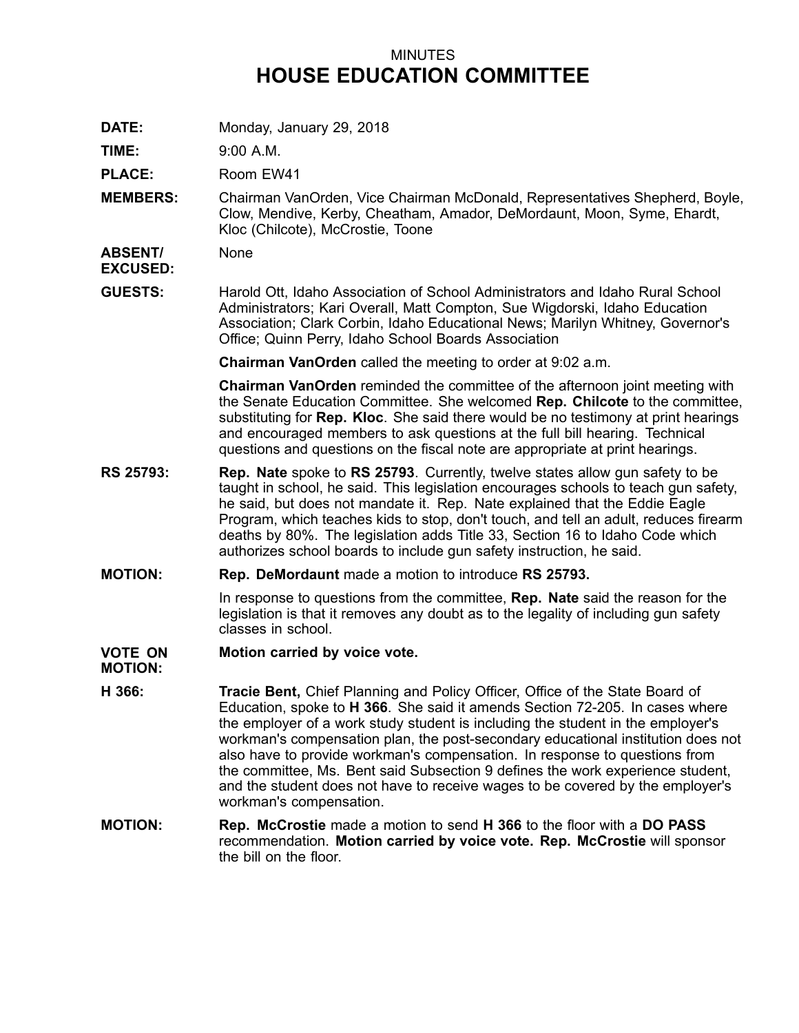# MINUTES **HOUSE EDUCATION COMMITTEE**

**DATE:** Monday, January 29, 2018

**TIME:** 9:00 A.M.

**PLACE:** Room EW41

**MEMBERS:** Chairman VanOrden, Vice Chairman McDonald, Representatives Shepherd, Boyle, Clow, Mendive, Kerby, Cheatham, Amador, DeMordaunt, Moon, Syme, Ehardt, Kloc (Chilcote), McCrostie, Toone

**ABSENT/** None

**EXCUSED:**

**GUESTS:** Harold Ott, Idaho Association of School Administrators and Idaho Rural School Administrators; Kari Overall, Matt Compton, Sue Wigdorski, Idaho Education Association; Clark Corbin, Idaho Educational News; Marilyn Whitney, Governor's Office; Quinn Perry, Idaho School Boards Association

**Chairman VanOrden** called the meeting to order at 9:02 a.m.

**Chairman VanOrden** reminded the committee of the afternoon joint meeting with the Senate Education Committee. She welcomed **Rep. Chilcote** to the committee, substituting for **Rep. Kloc**. She said there would be no testimony at print hearings and encouraged members to ask questions at the full bill hearing. Technical questions and questions on the fiscal note are appropriate at print hearings.

- **RS 25793: Rep. Nate** spoke to **RS 25793**. Currently, twelve states allow gun safety to be taught in school, he said. This legislation encourages schools to teach gun safety, he said, but does not mandate it. Rep. Nate explained that the Eddie Eagle Program, which teaches kids to stop, don't touch, and tell an adult, reduces firearm deaths by 80%. The legislation adds Title 33, Section 16 to Idaho Code which authorizes school boards to include gun safety instruction, he said.
- **MOTION: Rep. DeMordaunt** made <sup>a</sup> motion to introduce **RS 25793.**

In response to questions from the committee, **Rep. Nate** said the reason for the legislation is that it removes any doubt as to the legality of including gun safety classes in school.

#### **VOTE ON Motion carried by voice vote.**

**MOTION:**

- **H 366: Tracie Bent,** Chief Planning and Policy Officer, Office of the State Board of Education, spoke to **H 366**. She said it amends Section 72-205. In cases where the employer of <sup>a</sup> work study student is including the student in the employer's workman's compensation plan, the post-secondary educational institution does not also have to provide workman's compensation. In response to questions from the committee, Ms. Bent said Subsection 9 defines the work experience student, and the student does not have to receive wages to be covered by the employer's workman's compensation.
- **MOTION: Rep. McCrostie** made <sup>a</sup> motion to send **H 366** to the floor with <sup>a</sup> **DO PASS** recommendation. **Motion carried by voice vote. Rep. McCrostie** will sponsor the bill on the floor.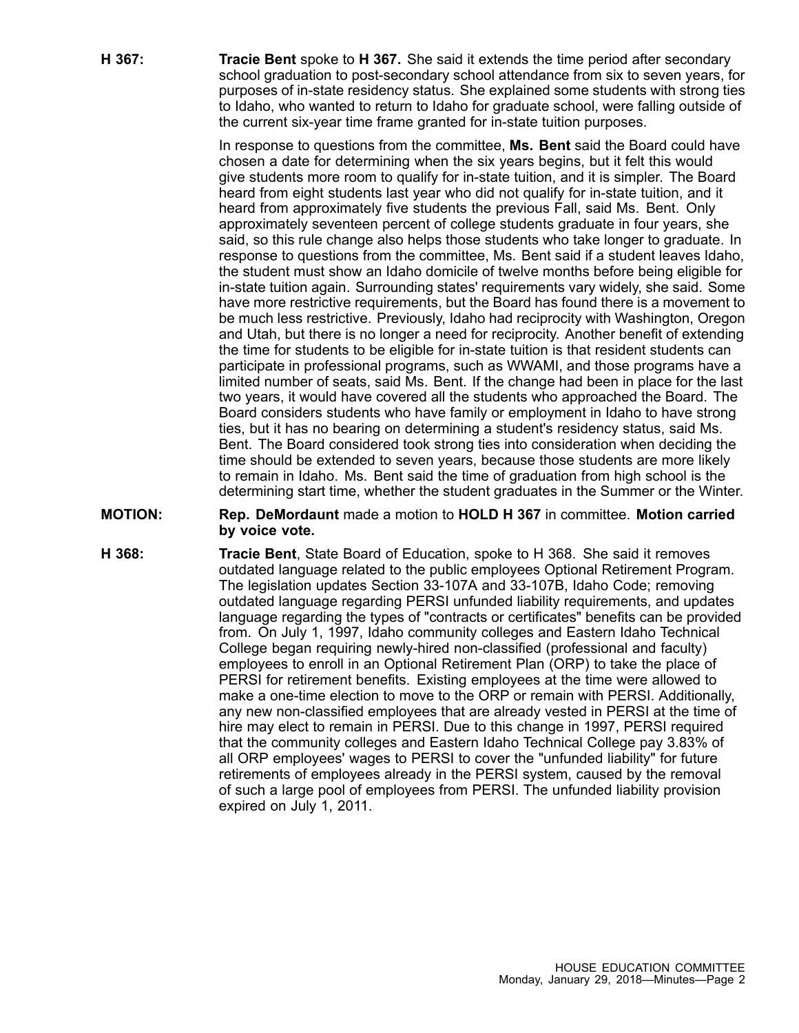**H 367: Tracie Bent** spoke to **H 367.** She said it extends the time period after secondary school graduation to post-secondary school attendance from six to seven years, for purposes of in-state residency status. She explained some students with strong ties to Idaho, who wanted to return to Idaho for graduate school, were falling outside of the current six-year time frame granted for in-state tuition purposes.

> In response to questions from the committee, **Ms. Bent** said the Board could have chosen <sup>a</sup> date for determining when the six years begins, but it felt this would give students more room to qualify for in-state tuition, and it is simpler. The Board heard from eight students last year who did not qualify for in-state tuition, and it heard from approximately five students the previous Fall, said Ms. Bent. Only approximately seventeen percent of college students graduate in four years, she said, so this rule change also helps those students who take longer to graduate. In response to questions from the committee, Ms. Bent said if <sup>a</sup> student leaves Idaho, the student must show an Idaho domicile of twelve months before being eligible for in-state tuition again. Surrounding states' requirements vary widely, she said. Some have more restrictive requirements, but the Board has found there is <sup>a</sup> movement to be much less restrictive. Previously, Idaho had reciprocity with Washington, Oregon and Utah, but there is no longer <sup>a</sup> need for reciprocity. Another benefit of extending the time for students to be eligible for in-state tuition is that resident students can participate in professional programs, such as WWAMI, and those programs have <sup>a</sup> limited number of seats, said Ms. Bent. If the change had been in place for the last two years, it would have covered all the students who approached the Board. The Board considers students who have family or employment in Idaho to have strong ties, but it has no bearing on determining <sup>a</sup> student's residency status, said Ms. Bent. The Board considered took strong ties into consideration when deciding the time should be extended to seven years, because those students are more likely to remain in Idaho. Ms. Bent said the time of graduation from high school is the determining start time, whether the student graduates in the Summer or the Winter.

### **MOTION: Rep. DeMordaunt** made <sup>a</sup> motion to **HOLD H 367** in committee. **Motion carried by voice vote.**

**H 368: Tracie Bent**, State Board of Education, spoke to H 368. She said it removes outdated language related to the public employees Optional Retirement Program. The legislation updates Section 33-107A and 33-107B, Idaho Code; removing outdated language regarding PERSI unfunded liability requirements, and updates language regarding the types of "contracts or certificates" benefits can be provided from. On July 1, 1997, Idaho community colleges and Eastern Idaho Technical College began requiring newly-hired non-classified (professional and faculty) employees to enroll in an Optional Retirement Plan (ORP) to take the place of PERSI for retirement benefits. Existing employees at the time were allowed to make <sup>a</sup> one-time election to move to the ORP or remain with PERSI. Additionally, any new non-classified employees that are already vested in PERSI at the time of hire may elect to remain in PERSI. Due to this change in 1997, PERSI required that the community colleges and Eastern Idaho Technical College pay 3.83% of all ORP employees' wages to PERSI to cover the "unfunded liability" for future retirements of employees already in the PERSI system, caused by the removal of such <sup>a</sup> large pool of employees from PERSI. The unfunded liability provision expired on July 1, 2011.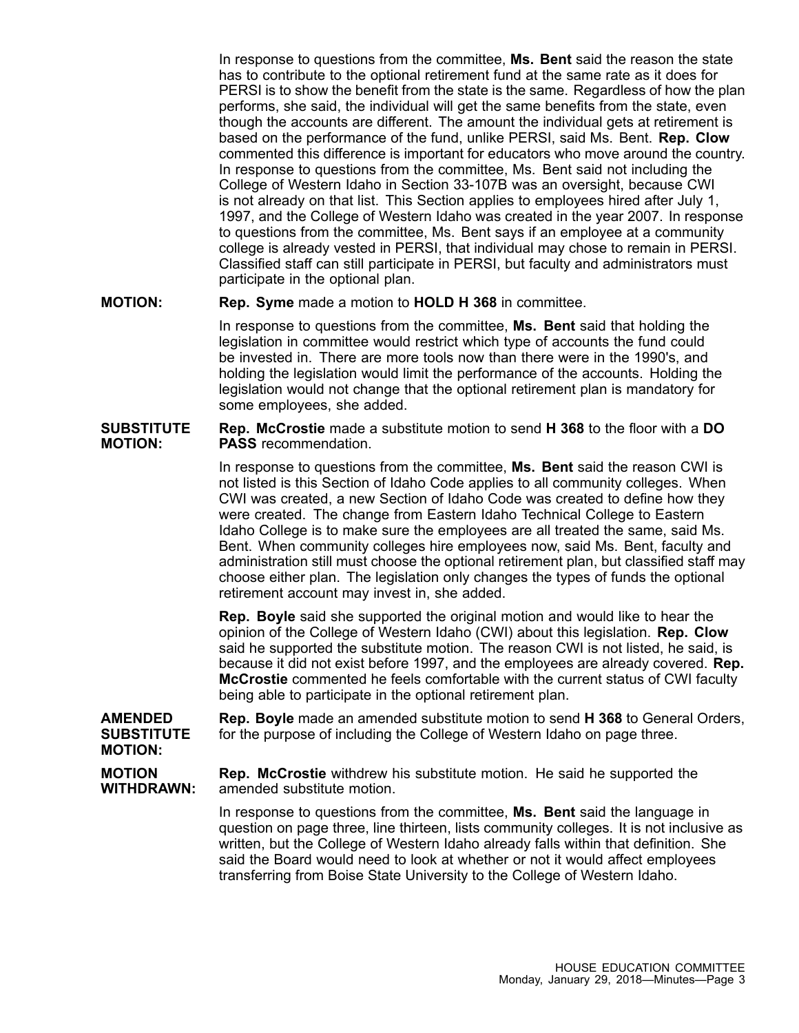In response to questions from the committee, **Ms. Bent** said the reason the state has to contribute to the optional retirement fund at the same rate as it does for PERSI is to show the benefit from the state is the same. Regardless of how the plan performs, she said, the individual will get the same benefits from the state, even though the accounts are different. The amount the individual gets at retirement is based on the performance of the fund, unlike PERSI, said Ms. Bent. **Rep. Clow** commented this difference is important for educators who move around the country. In response to questions from the committee, Ms. Bent said not including the College of Western Idaho in Section 33-107B was an oversight, because CWI is not already on that list. This Section applies to employees hired after July 1, 1997, and the College of Western Idaho was created in the year 2007. In response to questions from the committee, Ms. Bent says if an employee at <sup>a</sup> community college is already vested in PERSI, that individual may chose to remain in PERSI. Classified staff can still participate in PERSI, but faculty and administrators must participate in the optional plan.

## **MOTION: Rep. Syme** made <sup>a</sup> motion to **HOLD H 368** in committee.

In response to questions from the committee, **Ms. Bent** said that holding the legislation in committee would restrict which type of accounts the fund could be invested in. There are more tools now than there were in the 1990's, and holding the legislation would limit the performance of the accounts. Holding the legislation would not change that the optional retirement plan is mandatory for some employees, she added.

#### **SUBSTITUTE MOTION: Rep. McCrostie** made <sup>a</sup> substitute motion to send **H 368** to the floor with <sup>a</sup> **DO PASS** recommendation.

In response to questions from the committee, **Ms. Bent** said the reason CWI is not listed is this Section of Idaho Code applies to all community colleges. When CWI was created, <sup>a</sup> new Section of Idaho Code was created to define how they were created. The change from Eastern Idaho Technical College to Eastern Idaho College is to make sure the employees are all treated the same, said Ms. Bent. When community colleges hire employees now, said Ms. Bent, faculty and administration still must choose the optional retirement plan, but classified staff may choose either plan. The legislation only changes the types of funds the optional retirement account may invest in, she added.

**Rep. Boyle** said she supported the original motion and would like to hear the opinion of the College of Western Idaho (CWI) about this legislation. **Rep. Clow** said he supported the substitute motion. The reason CWI is not listed, he said, is because it did not exist before 1997, and the employees are already covered. **Rep. McCrostie** commented he feels comfortable with the current status of CWI faculty being able to participate in the optional retirement plan.

### **AMENDED SUBSTITUTE MOTION: Rep. Boyle** made an amended substitute motion to send **H 368** to General Orders, for the purpose of including the College of Western Idaho on page three.

**MOTION WITHDRAWN: Rep. McCrostie** withdrew his substitute motion. He said he supported the amended substitute motion.

> In response to questions from the committee, **Ms. Bent** said the language in question on page three, line thirteen, lists community colleges. It is not inclusive as written, but the College of Western Idaho already falls within that definition. She said the Board would need to look at whether or not it would affect employees transferring from Boise State University to the College of Western Idaho.

### HOUSE EDUCATION COMMITTEE Monday, January 29, 2018—Minutes—Page 3